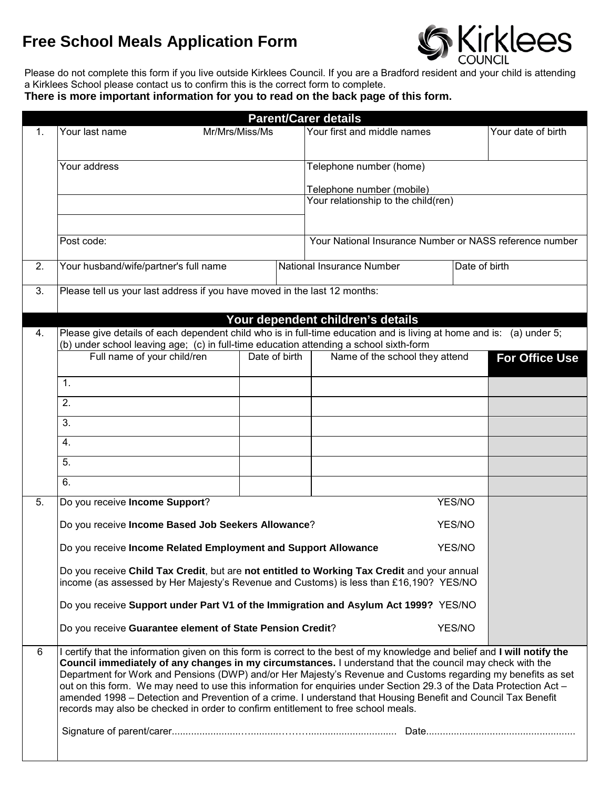## **Free School Meals Application Form**



Please do not complete this form if you live outside Kirklees Council. If you are a Bradford resident and your child is attending a Kirklees School please contact us to confirm this is the correct form to complete.

**There is more important information for you to read on the back page of this form.**

|    | <b>Parent/Carer details</b>                                                                                                                                                                                                                                                                                                                                                                                                                                                                                                                                                                                                                                                        |                                                                                 |        |                                                         |               |                       |  |  |  |  |
|----|------------------------------------------------------------------------------------------------------------------------------------------------------------------------------------------------------------------------------------------------------------------------------------------------------------------------------------------------------------------------------------------------------------------------------------------------------------------------------------------------------------------------------------------------------------------------------------------------------------------------------------------------------------------------------------|---------------------------------------------------------------------------------|--------|---------------------------------------------------------|---------------|-----------------------|--|--|--|--|
| 1. | Your last name                                                                                                                                                                                                                                                                                                                                                                                                                                                                                                                                                                                                                                                                     | Mr/Mrs/Miss/Ms                                                                  |        | Your first and middle names                             |               | Your date of birth    |  |  |  |  |
|    | Your address                                                                                                                                                                                                                                                                                                                                                                                                                                                                                                                                                                                                                                                                       |                                                                                 |        | Telephone number (home)                                 |               |                       |  |  |  |  |
|    |                                                                                                                                                                                                                                                                                                                                                                                                                                                                                                                                                                                                                                                                                    |                                                                                 |        | Telephone number (mobile)                               |               |                       |  |  |  |  |
|    |                                                                                                                                                                                                                                                                                                                                                                                                                                                                                                                                                                                                                                                                                    |                                                                                 |        | Your relationship to the child(ren)                     |               |                       |  |  |  |  |
|    | Post code:                                                                                                                                                                                                                                                                                                                                                                                                                                                                                                                                                                                                                                                                         |                                                                                 |        | Your National Insurance Number or NASS reference number |               |                       |  |  |  |  |
| 2. | Your husband/wife/partner's full name                                                                                                                                                                                                                                                                                                                                                                                                                                                                                                                                                                                                                                              |                                                                                 |        | National Insurance Number                               | Date of birth |                       |  |  |  |  |
| 3. |                                                                                                                                                                                                                                                                                                                                                                                                                                                                                                                                                                                                                                                                                    | Please tell us your last address if you have moved in the last 12 months:       |        |                                                         |               |                       |  |  |  |  |
| 4. | Your dependent children's details<br>Please give details of each dependent child who is in full-time education and is living at home and is: (a) under 5;<br>(b) under school leaving age; (c) in full-time education attending a school sixth-form                                                                                                                                                                                                                                                                                                                                                                                                                                |                                                                                 |        |                                                         |               |                       |  |  |  |  |
|    | Full name of your child/ren<br>Date of birth                                                                                                                                                                                                                                                                                                                                                                                                                                                                                                                                                                                                                                       |                                                                                 |        | Name of the school they attend                          |               | <b>For Office Use</b> |  |  |  |  |
|    | 1.                                                                                                                                                                                                                                                                                                                                                                                                                                                                                                                                                                                                                                                                                 |                                                                                 |        |                                                         |               |                       |  |  |  |  |
|    | 2.                                                                                                                                                                                                                                                                                                                                                                                                                                                                                                                                                                                                                                                                                 |                                                                                 |        |                                                         |               |                       |  |  |  |  |
|    | 3.                                                                                                                                                                                                                                                                                                                                                                                                                                                                                                                                                                                                                                                                                 |                                                                                 |        |                                                         |               |                       |  |  |  |  |
|    | 4.                                                                                                                                                                                                                                                                                                                                                                                                                                                                                                                                                                                                                                                                                 |                                                                                 |        |                                                         |               |                       |  |  |  |  |
|    | 5.                                                                                                                                                                                                                                                                                                                                                                                                                                                                                                                                                                                                                                                                                 |                                                                                 |        |                                                         |               |                       |  |  |  |  |
|    | 6.                                                                                                                                                                                                                                                                                                                                                                                                                                                                                                                                                                                                                                                                                 |                                                                                 |        |                                                         |               |                       |  |  |  |  |
| 5. |                                                                                                                                                                                                                                                                                                                                                                                                                                                                                                                                                                                                                                                                                    | Do you receive Income Support?                                                  |        |                                                         |               |                       |  |  |  |  |
|    | Do you receive Income Based Job Seekers Allowance?                                                                                                                                                                                                                                                                                                                                                                                                                                                                                                                                                                                                                                 |                                                                                 | YES/NO |                                                         |               |                       |  |  |  |  |
|    |                                                                                                                                                                                                                                                                                                                                                                                                                                                                                                                                                                                                                                                                                    | Do you receive Income Related Employment and Support Allowance<br><b>YES/NO</b> |        |                                                         |               |                       |  |  |  |  |
|    | Do you receive Child Tax Credit, but are not entitled to Working Tax Credit and your annual<br>income (as assessed by Her Majesty's Revenue and Customs) is less than £16,190? YES/NO                                                                                                                                                                                                                                                                                                                                                                                                                                                                                              |                                                                                 |        |                                                         |               |                       |  |  |  |  |
|    | Do you receive Support under Part V1 of the Immigration and Asylum Act 1999? YES/NO                                                                                                                                                                                                                                                                                                                                                                                                                                                                                                                                                                                                |                                                                                 |        |                                                         |               |                       |  |  |  |  |
|    | Do you receive Guarantee element of State Pension Credit?                                                                                                                                                                                                                                                                                                                                                                                                                                                                                                                                                                                                                          | YES/NO                                                                          |        |                                                         |               |                       |  |  |  |  |
| 6  | I certify that the information given on this form is correct to the best of my knowledge and belief and I will notify the<br>Council immediately of any changes in my circumstances. I understand that the council may check with the<br>Department for Work and Pensions (DWP) and/or Her Majesty's Revenue and Customs regarding my benefits as set<br>out on this form. We may need to use this information for enquiries under Section 29.3 of the Data Protection Act -<br>amended 1998 - Detection and Prevention of a crime. I understand that Housing Benefit and Council Tax Benefit<br>records may also be checked in order to confirm entitlement to free school meals. |                                                                                 |        |                                                         |               |                       |  |  |  |  |